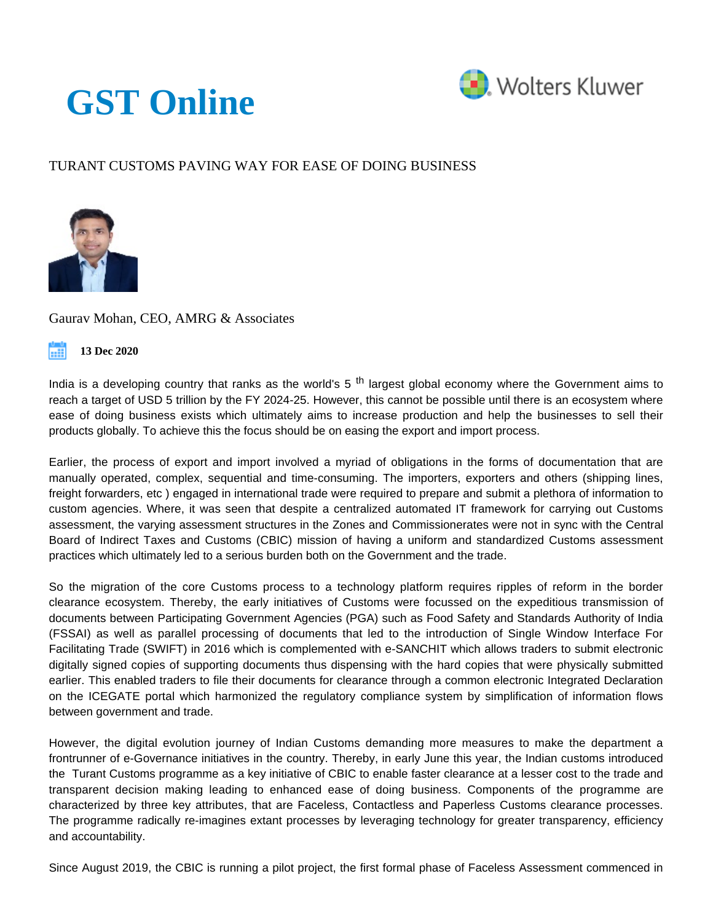## **[GST Online](https://www.gst.cchtaxonline.com/web/gst/home)**



## TURANT CUSTOMS PAVING WAY FOR EASE OF DOING BUSINESS



Gaurav Mohan, CEO, AMRG & Associates



India is a developing country that ranks as the world's  $5<sup>th</sup>$  largest global economy where the Government aims to reach a target of USD 5 trillion by the FY 2024-25. However, this cannot be possible until there is an ecosystem where ease of doing business exists which ultimately aims to increase production and help the businesses to sell their products globally. To achieve this the focus should be on easing the export and import process.

Earlier, the process of export and import involved a myriad of obligations in the forms of documentation that are manually operated, complex, sequential and time-consuming. The importers, exporters and others (shipping lines, freight forwarders, etc ) engaged in international trade were required to prepare and submit a plethora of information to custom agencies. Where, it was seen that despite a centralized automated IT framework for carrying out Customs assessment, the varying assessment structures in the Zones and Commissionerates were not in sync with the Central Board of Indirect Taxes and Customs (CBIC) mission of having a uniform and standardized Customs assessment practices which ultimately led to a serious burden both on the Government and the trade.

So the migration of the core Customs process to a technology platform requires ripples of reform in the border clearance ecosystem. Thereby, the early initiatives of Customs were focussed on the expeditious transmission of documents between Participating Government Agencies (PGA) such as Food Safety and Standards Authority of India (FSSAI) as well as parallel processing of documents that led to the introduction of Single Window Interface For Facilitating Trade (SWIFT) in 2016 which is complemented with e-SANCHIT which allows traders to submit electronic digitally signed copies of supporting documents thus dispensing with the hard copies that were physically submitted earlier. This enabled traders to file their documents for clearance through a common electronic Integrated Declaration on the ICEGATE portal which harmonized the regulatory compliance system by simplification of information flows between government and trade.

However, the digital evolution journey of Indian Customs demanding more measures to make the department a frontrunner of e-Governance initiatives in the country. Thereby, in early June this year, the Indian customs introduced the Turant Customs programme as a key initiative of CBIC to enable faster clearance at a lesser cost to the trade and transparent decision making leading to enhanced ease of doing business. Components of the programme are characterized by three key attributes, that are Faceless, Contactless and Paperless Customs clearance processes. The programme radically re-imagines extant processes by leveraging technology for greater transparency, efficiency and accountability.

Since August 2019, the CBIC is running a pilot project, the first formal phase of Faceless Assessment commenced in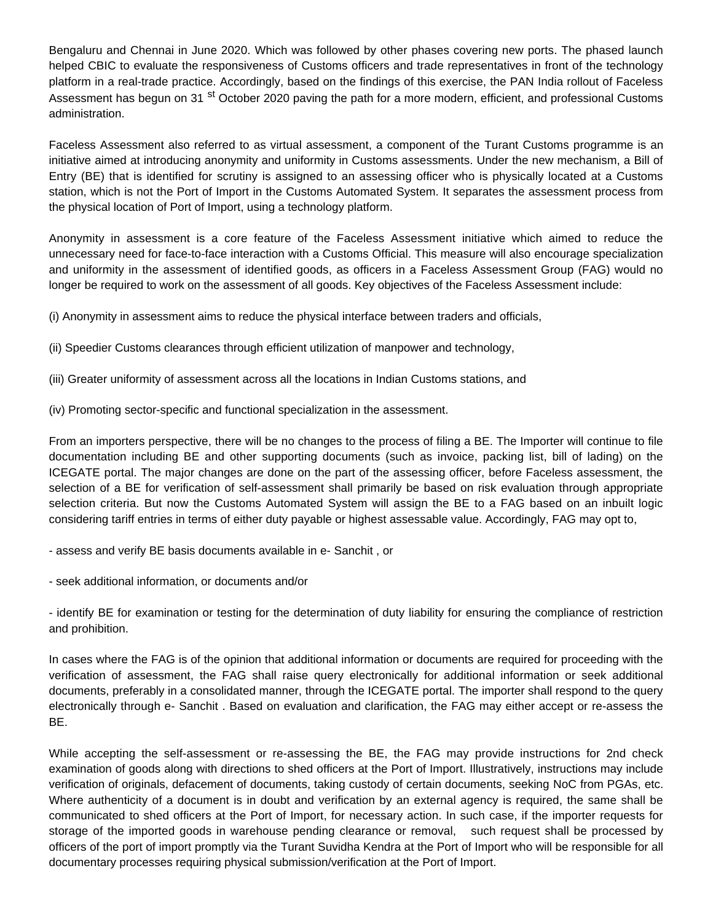Bengaluru and Chennai in June 2020. Which was followed by other phases covering new ports. The phased launch helped CBIC to evaluate the responsiveness of Customs officers and trade representatives in front of the technology platform in a real-trade practice. Accordingly, based on the findings of this exercise, the PAN India rollout of Faceless Assessment has begun on 31 <sup>st</sup> October 2020 paving the path for a more modern, efficient, and professional Customs administration.

Faceless Assessment also referred to as virtual assessment, a component of the Turant Customs programme is an initiative aimed at introducing anonymity and uniformity in Customs assessments. Under the new mechanism, a Bill of Entry (BE) that is identified for scrutiny is assigned to an assessing officer who is physically located at a Customs station, which is not the Port of Import in the Customs Automated System. It separates the assessment process from the physical location of Port of Import, using a technology platform.

Anonymity in assessment is a core feature of the Faceless Assessment initiative which aimed to reduce the unnecessary need for face-to-face interaction with a Customs Official. This measure will also encourage specialization and uniformity in the assessment of identified goods, as officers in a Faceless Assessment Group (FAG) would no longer be required to work on the assessment of all goods. Key objectives of the Faceless Assessment include:

(i) Anonymity in assessment aims to reduce the physical interface between traders and officials,

- (ii) Speedier Customs clearances through efficient utilization of manpower and technology,
- (iii) Greater uniformity of assessment across all the locations in Indian Customs stations, and
- (iv) Promoting sector-specific and functional specialization in the assessment.

From an importers perspective, there will be no changes to the process of filing a BE. The Importer will continue to file documentation including BE and other supporting documents (such as invoice, packing list, bill of lading) on the ICEGATE portal. The major changes are done on the part of the assessing officer, before Faceless assessment, the selection of a BE for verification of self-assessment shall primarily be based on risk evaluation through appropriate selection criteria. But now the Customs Automated System will assign the BE to a FAG based on an inbuilt logic considering tariff entries in terms of either duty payable or highest assessable value. Accordingly, FAG may opt to,

- assess and verify BE basis documents available in e- Sanchit , or
- seek additional information, or documents and/or

- identify BE for examination or testing for the determination of duty liability for ensuring the compliance of restriction and prohibition.

In cases where the FAG is of the opinion that additional information or documents are required for proceeding with the verification of assessment, the FAG shall raise query electronically for additional information or seek additional documents, preferably in a consolidated manner, through the ICEGATE portal. The importer shall respond to the query electronically through e- Sanchit . Based on evaluation and clarification, the FAG may either accept or re-assess the BE.

While accepting the self-assessment or re-assessing the BE, the FAG may provide instructions for 2nd check examination of goods along with directions to shed officers at the Port of Import. Illustratively, instructions may include verification of originals, defacement of documents, taking custody of certain documents, seeking NoC from PGAs, etc. Where authenticity of a document is in doubt and verification by an external agency is required, the same shall be communicated to shed officers at the Port of Import, for necessary action. In such case, if the importer requests for storage of the imported goods in warehouse pending clearance or removal, such request shall be processed by officers of the port of import promptly via the Turant Suvidha Kendra at the Port of Import who will be responsible for all documentary processes requiring physical submission/verification at the Port of Import.